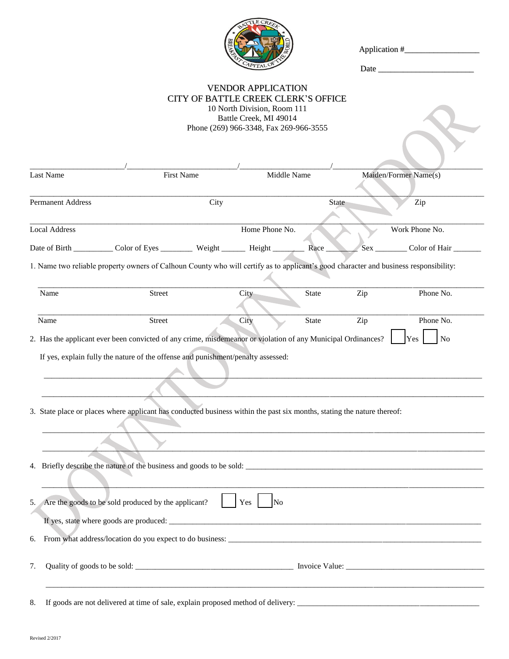

Application #\_\_\_\_\_\_\_\_\_\_\_\_\_\_\_\_\_\_

|                          |                                                                                                                                                                                                             | <b>VENDOR APPLICATION</b><br><b>CITY OF BATTLE CREEK CLERK'S OFFICE</b><br>10 North Division, Room 111<br>Battle Creek, MI 49014<br>Phone (269) 966-3348, Fax 269-966-3555 |                |              |  |                       |                                                                      |  |
|--------------------------|-------------------------------------------------------------------------------------------------------------------------------------------------------------------------------------------------------------|----------------------------------------------------------------------------------------------------------------------------------------------------------------------------|----------------|--------------|--|-----------------------|----------------------------------------------------------------------|--|
| <b>Last Name</b>         | <b>First Name</b>                                                                                                                                                                                           |                                                                                                                                                                            |                | Middle Name  |  |                       |                                                                      |  |
|                          |                                                                                                                                                                                                             |                                                                                                                                                                            |                |              |  | Maiden/Former Name(s) |                                                                      |  |
| <b>Permanent Address</b> |                                                                                                                                                                                                             | City                                                                                                                                                                       |                | <b>State</b> |  |                       | Zip                                                                  |  |
| <b>Local Address</b>     |                                                                                                                                                                                                             |                                                                                                                                                                            | Home Phone No. |              |  |                       | Work Phone No.                                                       |  |
|                          | Date of Birth ____________ Color of Eyes ____________ Weight _________ Height __________ Race                                                                                                               |                                                                                                                                                                            |                |              |  |                       | Sex Color of Hair                                                    |  |
|                          | 1. Name two reliable property owners of Calhoun County who will certify as to applicant's good character and business responsibility:                                                                       |                                                                                                                                                                            |                |              |  |                       |                                                                      |  |
| Name                     | <b>Street</b>                                                                                                                                                                                               |                                                                                                                                                                            | City           | <b>State</b> |  | Zip                   | Phone No.                                                            |  |
| Name                     | <b>Street</b>                                                                                                                                                                                               |                                                                                                                                                                            | City           | State        |  | Zip                   | Phone No.                                                            |  |
|                          | If yes, explain fully the nature of the offense and punishment/penalty assessed:<br>3. State place or places where applicant has conducted business within the past six months, stating the nature thereof: |                                                                                                                                                                            |                |              |  |                       |                                                                      |  |
|                          |                                                                                                                                                                                                             |                                                                                                                                                                            |                |              |  |                       | 4. Briefly describe the nature of the business and goods to be sold: |  |
|                          | 5. Are the goods to be sold produced by the applicant?                                                                                                                                                      |                                                                                                                                                                            | Yes            | No           |  |                       |                                                                      |  |
| 6.                       |                                                                                                                                                                                                             |                                                                                                                                                                            |                |              |  |                       |                                                                      |  |
| 7.                       |                                                                                                                                                                                                             |                                                                                                                                                                            |                |              |  |                       |                                                                      |  |
| 8.                       |                                                                                                                                                                                                             |                                                                                                                                                                            |                |              |  |                       |                                                                      |  |